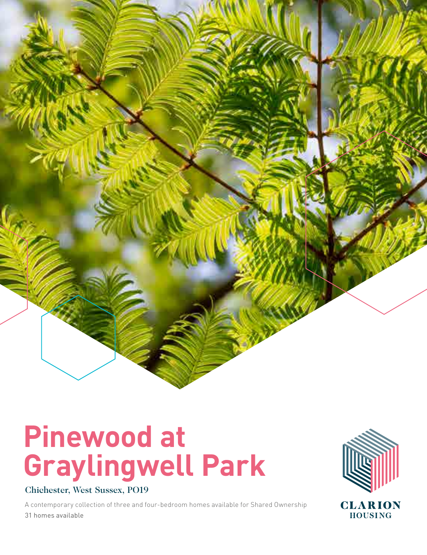

# **Pinewood at Graylingwell Park**

### Chichester, West Sussex, PO19

A contemporary collection of three and four-bedroom homes available for Shared Ownership 31 homes available

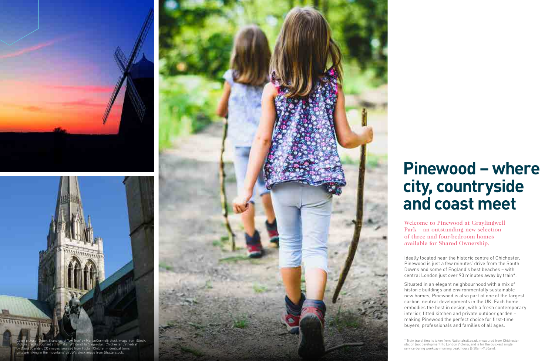## **Pinewood – where city, countryside and coast meet**

Ideally located near the historic centre of Chichester, Pinewood is just a few minutes' drive from the South Downs and some of England's best beaches – with central London just over 90 minutes away by train\*.

Situated in an elegant neighbourhood with a mix of historic buildings and environmentally sustainable new homes, Pinewood is also part of one of the largest carbon-neutral developments in the UK. Each home embodies the best in design, with a fresh contemporary interior, fitted kitchen and private outdoor garden – making Pinewood the perfect choice for first-time buyers, professionals and families of all ages.

Welcome to Pinewood at Graylingwell Park – an outstanding new selection of three and four-bedroom homes available for Shared Ownership.





girls are hiking in the mountains' by JGA; stock image from Shutterstock.

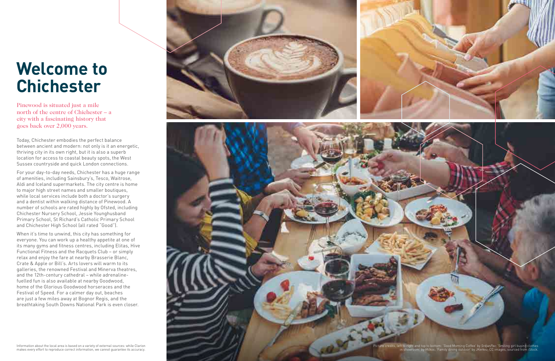### **Welcome to Chichester**

Today, Chichester embodies the perfect balance between ancient and modern: not only is it an energetic, thriving city in its own right, but it is also a superb location for access to coastal beauty spots, the West Sussex countryside and quick London connections.

For your day-to-day needs, Chichester has a huge range of amenities, including Sainsbury's, Tesco, Waitrose, Aldi and Iceland supermarkets. The city centre is home to major high street names and smaller boutiques, while local services include both a doctor's surgery and a dentist within walking distance of Pinewood. A number of schools are rated highly by Ofsted, including Chichester Nursery School, Jessie Younghusband Primary School, St Richard's Catholic Primary School and Chichester High School (all rated "Good").

When it's time to unwind, this city has something for everyone. You can work up a healthy appetite at one of its many gyms and fitness centres, including Elitas, Hive Functional Fitness and the Racquets Club – or simply relax and enjoy the fare at nearby Brasserie Blanc, Crate & Apple or Bill's. Arts lovers will warm to its galleries, the renowned Festival and Minerva theatres, and the 12th-century cathedral – while adrenalinefuelled fun is also available at nearby Goodwood, home of the Glorious Goodwood horseraces and the Festival of Speed. For a calmer day out, beaches are just a few miles away at Bognor Regis, and the breathtaking South Downs National Park is even closer.





Pinewood is situated just a mile north of the centre of Chichester – a city with a fascinating history that goes back over 2,000 years.

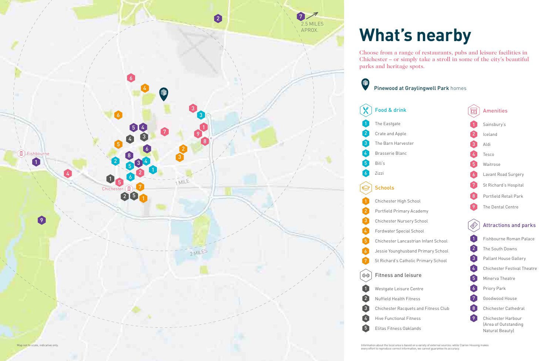## **What's nearby**

### Choose from a range of restaurants, pubs and leisure facilities in Chichester – or simply take a stroll in some of the city's beautiful

parks and heritage spots.

Information about the local area is based on a variety of external sources: while Clarion Housing makes every effort to reproduce correct information, we cannot guarantee its accuracy.





| 1              | Fishbourne Roman Palace                                       |
|----------------|---------------------------------------------------------------|
| $\overline{2}$ | The South Downs                                               |
| 3              | <b>Pallant House Gallery</b>                                  |
| 4              | <b>Chichester Festival Theatre</b>                            |
| 5              | Minerva Theatre                                               |
| $\overline{6}$ | Priory Park                                                   |
| 7              | Goodwood House                                                |
| 8              | <b>Chichester Cathedral</b>                                   |
| ์<br>9         | Chichester Harbour<br>(Area of Outstanding<br>Natural Beauty) |

|                | Attractions and par   |
|----------------|-----------------------|
| 9              | The Dental Centre     |
| -8             | Portfield Retail Park |
| -7             | St Richard's Hospital |
| $\overline{6}$ | Lavant Road Surgery   |
| -5             | Waitrose              |
| 4              | Tesco                 |
| -3             | Aldi                  |
| $\mathbf{Z}$   | Iceland               |
| 1              | Sainsbury's           |
|                | <b>Amenities</b>      |
|                |                       |

| hool | 1                     |
|------|-----------------------|
| hool | $\left[ \, 2 \right]$ |
| hool | 3                     |
|      | $\frac{1}{4}$         |
|      | $\sqrt{5}$            |
|      | $\overline{6}$        |
|      | 7                     |
| Club | $\overline{8}$        |
|      | 9                     |
|      |                       |

### $rk<sub>S</sub>$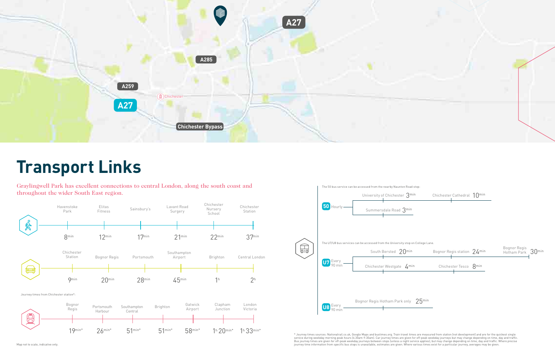### **Transport Links**

Graylingwell Park has excellent connections to central London, along the south coast and throughout the wider South East region.

| hester Cathedral $\,10^{\rm min}$ |  |
|-----------------------------------|--|
|                                   |  |

\* Journey times sources: Nationalrail.co.uk, Google Maps and bustimes.org. Train travel times are measured from station (not development) and are for the quickest single service during weekday morning peak hours (6.30am-9.30am). Car journey times are given for off-peak weekday journeys but may change depending on time, day and traffic. Bus journey times are given for off-peak weekday journeys between stops (unless a night service applies), but may change depending on time, day and traffic. Where precise journey time information from specific bus stops is unavailable, estimates are given. Where various times exist for a particular journey, averages may be given.



| nor Regis station $~24$ <sup>min</sup> | Bognor Regis<br>Hotham Park 30min |  |
|----------------------------------------|-----------------------------------|--|
|                                        |                                   |  |



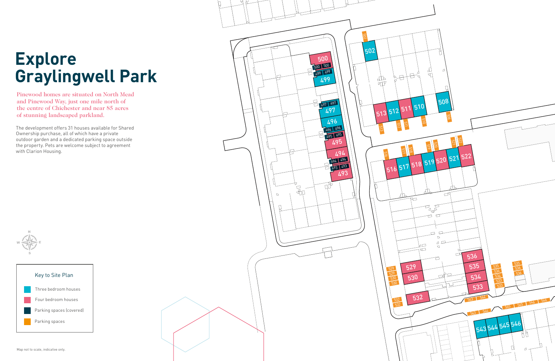Pinewood homes are situated on North Mead and Pinewood Way, just one mile north of the centre of Chichester and near 85 acres of stunning landscaped parkland.



## **Explore Graylingwell Park**



The development offers 31 houses available for Shared Ownership purchase, all of which have a private outdoor garden and a dedicated parking space outside the property. Pets are welcome subject to agreement with Clarion Housing.

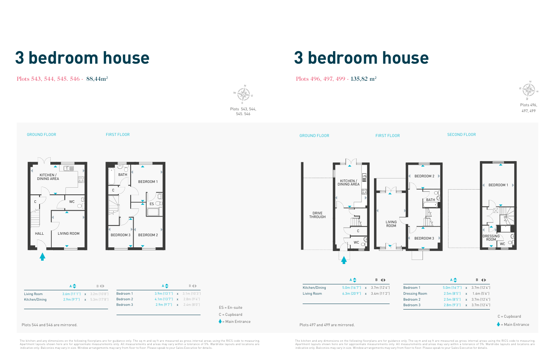## **3 bedroom house 3 bedroom house**

### Plots 543, 544, 545, 546 - 88,44m<sup>2</sup> Plots 496, 497, 499 - 135,82 m<sup>2</sup>

The kitchen and any dimensions on the following floorplans are for guidance only. The sq m and sq ft are measured as gross internal areas using the RICS code to measuring.<br>Apartment layouts shown here are for approximate m indicative only. Balconies may vary in size. Window arrangements may vary from floor to floor. Please speak to your Sales Executive for details.

The kitchen and any dimensions on the following floorplans are for guidance only. The sq m and sq fi are measured as gross internal areas using the RICS code to measuring.<br>Apartment layouts shown here are for approximate m indicative only. Balconies may vary in size. Window arrangements may vary from floor to floor. Please speak to your Sales Executive for details.

Plots 496 497, 499





Plots 543, 544, 545. 546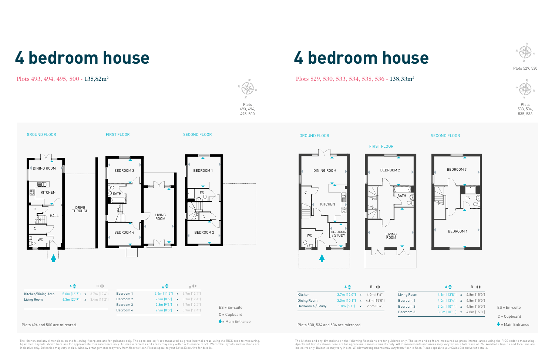## **4 bedroom house 4 bedroom house**

Plots 493, 494, 495, 500 - 135,82m<sup>2</sup> Plots 529, 530, 533, 534, 535, 536 - 138,33m<sup>2</sup>

The kitchen and any dimensions on the following floorplans are for guidance only. The sq m and sq ft are measured as gross internal areas using the RICS code to measuring.<br>Apartment layouts shown here are for approximate m indicative only. Balconies may vary in size. Window arrangements may vary from floor to floor. Please speak to your Sales Executive for details.

The kitchen and any dimensions on the following floorplans are for guidance only. The sq m and sq fi are measured as gross internal areas using the RICS code to measuring.<br>Apartment layouts shown here are for approximate m indicative only. Balconies may vary in size. Window arrangements may vary from floor to floor. Please speak to your Sales Executive for details.

|                   | $A \triangleq$                  | $B \left( \parallel$             |             |    |
|-------------------|---------------------------------|----------------------------------|-------------|----|
| Kitchen           | $3.7m(12'0'')$ x 4.0m $(8'6'')$ |                                  | Living Room |    |
| Dining Room       |                                 | $3.0m(10'1'')$ x 4.8m $(15'0'')$ | Bedroom 1   | 4  |
| Bedroom 4 / Study |                                 | $1.8m [5'1'']$ x $2.5m [8'4'']$  | Bedroom 2   | -3 |
|                   |                                 |                                  | Bedroom 3   | -3 |

### Plots 494 and 500 are mirrored. The magnetic state of the state of the state of the Plots 530, 534 and 536 are mirrored.

GROUND FLOOR

Plots 493, 494, 495, 500





Plots 529, 530



Plots 533, 534, 535, 536

|             | $A \triangleq$                        | $B \left( \bullet \right)$ |                             |
|-------------|---------------------------------------|----------------------------|-----------------------------|
| Living Room | $4.1m$ $(13'8'')$ x $4.8m$ $(15'0'')$ |                            |                             |
| Bedroom 1   | $4.0m$ $(13'4'')$ x $4.8m$ $(15'0'')$ |                            |                             |
| Bedroom 2   | $3.0m(10'1'')$ x 4.8m (15'0")         |                            | $ES = En-suite$             |
| Bedroom 3   | $3.0m$ $(10'1'')$ x $4.8m$ $(15'0'')$ |                            | $C = C$ upboard             |
|             |                                       |                            | $\triangle$ = Main Entrance |





WC

C

KITCHEN

### SECOND FLOOR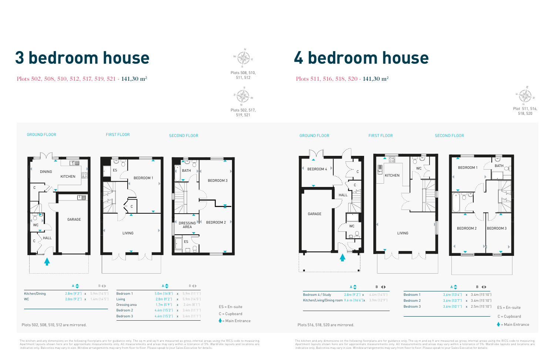### Plots 502, 508, 510, 512, 517, 519, 521 - 141,30 m<sup>2</sup> <sup>511, 512</sup> Plots 511, 516, 518, 520 - 141,30 m<sup>2</sup>

## **3 bedroom house 4 bedroom house**

The kitchen and any dimensions on the following floorplans are for guidance only. The sq m and sq ft are measured as gross internal areas using the RICS code to measuring.<br>Apartment layouts shown here are for approximate m indicative only. Balconies may vary in size. Window arrangements may vary from floor to floor. Please speak to your Sales Executive for details.

The kitchen and any dimensions on the following floorplans are for guidance only. The sq m and sq fi are measured as gross internal areas using the RICS code to measuring.<br>Apartment layouts shown here are for approximate m indicative only. Balconies may vary in size. Window arrangements may vary from floor to floor. Please speak to your Sales Executive for details.









Plots 502, 517,

Plots 508, 510, 511, 512



518, 520

Plots 502, 508, 510, 512 are mirrored. Plots 516, 518, 520 are mirrored.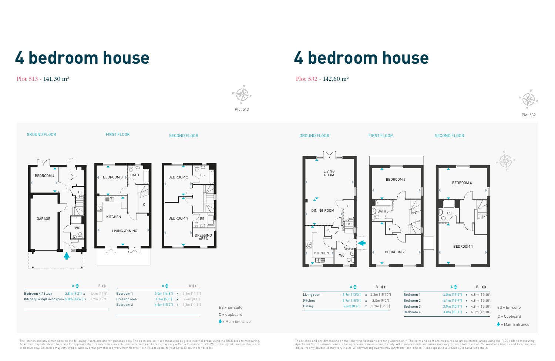## **4 bedroom house**

### Plot 513 - 141,30 m<sup>2</sup>

The kitchen and any dimensions on the following floorplans are for guidance only. The sq m and sq ft are measured as gross internal areas using the RICS code to measuring.<br>Apartment layouts shown here are for approximate m indicative only. Balconies may vary in size. Window arrangements may vary from floor to floor. Please speak to your Sales Executive for details.  $\triangle$  = Main Entrance C = Cupboard ES = En-suite

DRESSING AREA

**A B**

Bedroom 4 / Study 2.8m (9'2") x 4.4m (14'5") Kitchen/Living/Dining room 5.0m (16'4") x 3.9m (12'9")

GROUND FLOOR FIRST FLOOR FIRST FLOOR SECOND FLOOR

BEDROOM 3 BATH

The kitchen and any dimensions on the following floorplans are for guidance only. The sq m and sq fi are measured as gross internal areas using the RICS code to measuring.<br>Apartment layouts shown here are for approximate m indicative only. Balconies may vary in size. Window arrangements may vary from floor to floor. Please speak to your Sales Executive for details.



**A B**

Bedroom 1 5.0m (16'8") x 3.3m (11'1") **Dressing area 1.7m (5'9") x** 2.4m (8'1") Bedroom 2 4.6m (15'2") x 3.3m (11'1") Plot 513

BEDROOM 2  $\frac{1}{2}$  ES

## **4 bedroom house**



GROUND FLOOR FIRST FLOOR FIRST FLOOR SECOND FLOOR





|             | $A \triangleq$ | <b>B</b> $\blacklozenge$             |          |
|-------------|----------------|--------------------------------------|----------|
| Living room |                | $3.9m(13'0'')$ x 4.8m $(15'10'')$    | Bedroom  |
| Kitchen     |                | $3.7m$ $(15'5'')$ x $2.8m$ $(9'2'')$ | Bedroom: |
| Dining      |                | $2.6m [8'6'']$ x $3.7m [12'0'']$     | Bedroom: |
|             |                |                                      | Bedroom  |

ES

 $A \Box$ 

BEDROOM 1

Plot 532

KITCHEN

 $\mathbb{I}^{\mathbb{N}}$ 

C

C

رے

GARAGE

LIVING /DINING

BEDROOM 4

WC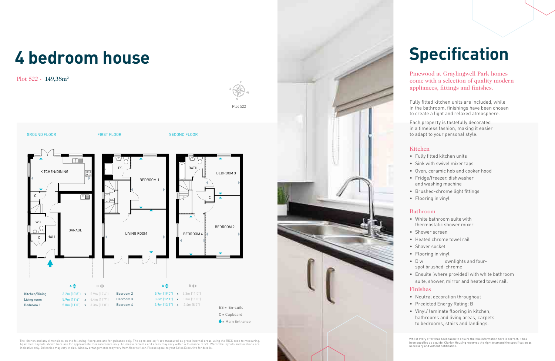## **4 bedroom house**

Plot 522 - 149,38m<sup>2</sup>

The kitchen and any dimensions on the following floorplans are for guidance only. The sq m and sq ft are measured as gross internal areas using the RICS code to measuring.<br>Apartment layouts shown here are for approximate m indicative only. Balconies may vary in size. Window arrangements may vary from floor to floor. Please speak to your Sales Executive for details.





### Kitchen

• Fully fitted kitchen units

- Sink with swivel mixer taps
- Oven, ceramic hob and cooker hood
- Fridge/freezer, dishwasher
- and washing machine
- Brushed-chrome light fittings
	-
- 
- 
- 
- 
- Flooring in vinyl

### Bathroom

• White bathroom suite with

- 
- Shower screen
- Heated chrome towel rail
- Shaver socket
- Flooring in vinyl • D w ownlights and four-
- spot brushed-chrome
- 

### **Finishes**

- thermostatic shower mixer
	-
	-
	-
	-
- Ensuite (where provided) with white bathroom
- suite, shower, mirror and heated towel rail.

• Neutral decoration throughout

- 
- Predicted Energy Rating: B
- Vinyl/ laminate flooring in kitchen, bathrooms and living areas, carpets to bedrooms, stairs and landings.

## **Specification**

Fully fitted kitchen units are included, while in the bathroom, finishings have been chosen to create a light and relaxed atmosphere.

Each property is tastefully decorated in a timeless fashion, making it easier to adapt to your personal style.

Pinewood at Graylingwell Park homes come with a selection of quality modern appliances, fittings and finishes.

necessary and without notification.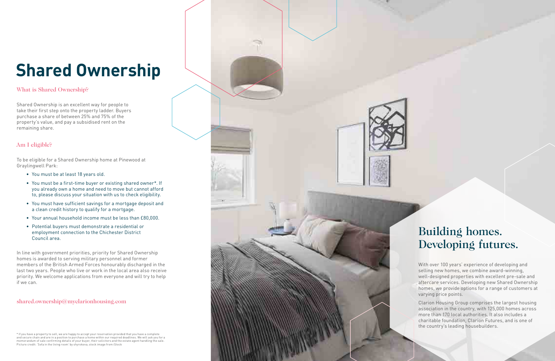## **Shared Ownership**

Shared Ownership is an excellent way for people to take their first step onto the property ladder. Buyers purchase a share of between 25% and 75% of the property's value, and pay a subsidised rent on the remaining share.

### What is Shared Ownership?

To be eligible for a Shared Ownership home at Pinewood at Graylingwell Park:

- You must be at least 18 years old.
- You must be a first-time buyer or existing shared owner\*. If you already own a home and need to move but cannot afford to, please discuss your situation with us to check eligibility.
- You must have sufficient savings for a mortgage deposit and a clean credit history to qualify for a mortgage.
- Your annual household income must be less than £80,000.
- Potential buyers must demonstrate a residential or employment connection to the Chichester District Council area.

In line with government priorities, priority for Shared Ownership homes is awarded to serving military personnel and former members of the British Armed Forces honourably discharged in the last two years. People who live or work in the local area also receive priority. We welcome applications from everyone and will try to help if we can.

### shared.ownership@myclarionhousing.com

### Am I eligible?

\* If you have a property to sell, we are happy to accept your reservation provided that you have a complete and secure chain and are in a position to purchase a home within our required deadlines. We will ask you for a memorandum of sale confirming details of your buyer, their solicitors and the estate agent handling the sale. Picture credit: 'Sofa in the living room' by shyrokova; stock image from iStock



With over 100 years' experience of developing and selling new homes, we combine award-winning, well-designed properties with excellent pre-sale and aftercare services. Developing new Shared Ownership homes, we provide options for a range of customers at varying price points.

Clarion Housing Group comprises the largest housing association in the country, with 125,000 homes across more than 170 local authorities. It also includes a charitable foundation, Clarion Futures, and is one of the country's leading housebuilders.

### Building homes. Developing futures.